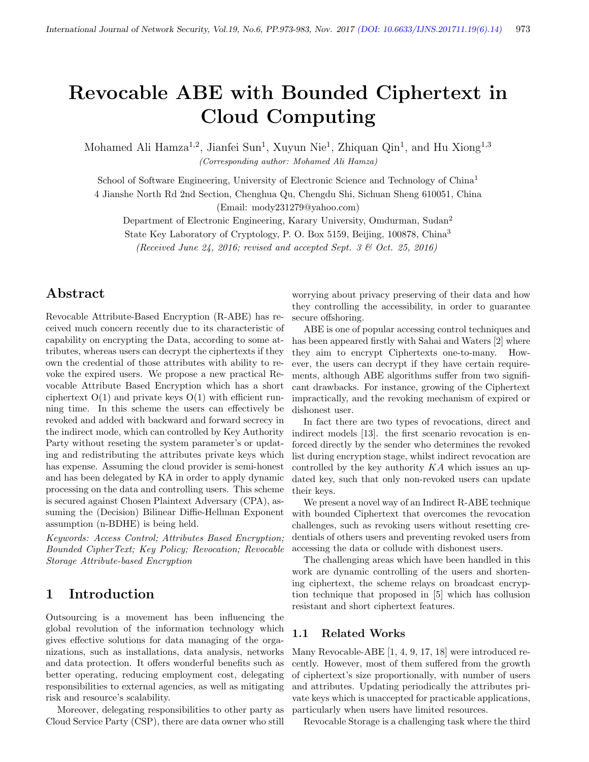# Revocable ABE with Bounded Ciphertext in Cloud Computing

Mohamed Ali Hamza<sup>1,2</sup>, Jianfei Sun<sup>1</sup>, Xuyun Nie<sup>1</sup>, Zhiquan Qin<sup>1</sup>, and Hu Xiong<sup>1,3</sup> (Corresponding author: Mohamed Ali Hamza)

School of Software Engineering, University of Electronic Science and Technology of China<sup>1</sup>

4 Jianshe North Rd 2nd Section, Chenghua Qu, Chengdu Shi, Sichuan Sheng 610051, China

(Email: mody231279@yahoo.com)

Department of Electronic Engineering, Karary University, Omdurman, Sudan<sup>2</sup>

State Key Laboratory of Cryptology, P. O. Box 5159, Beijing, 100878, China<sup>3</sup>

(Received June 24, 2016; revised and accepted Sept. 3 & Oct. 25, 2016)

# Abstract

Revocable Attribute-Based Encryption (R-ABE) has received much concern recently due to its characteristic of capability on encrypting the Data, according to some attributes, whereas users can decrypt the ciphertexts if they own the credential of those attributes with ability to revoke the expired users. We propose a new practical Revocable Attribute Based Encryption which has a short ciphertext  $O(1)$  and private keys  $O(1)$  with efficient running time. In this scheme the users can effectively be revoked and added with backward and forward secrecy in the indirect mode, which can controlled by Key Authority Party without reseting the system parameter's or updating and redistributing the attributes private keys which has expense. Assuming the cloud provider is semi-honest and has been delegated by KA in order to apply dynamic processing on the data and controlling users. This scheme is secured against Chosen Plaintext Adversary (CPA), assuming the (Decision) Bilinear Diffie-Hellman Exponent assumption (n-BDHE) is being held.

Keywords: Access Control; Attributes Based Encryption; Bounded CipherText; Key Policy; Revocation; Revocable Storage Attribute-based Encryption

# 1 Introduction

Outsourcing is a movement has been influencing the global revolution of the information technology which gives effective solutions for data managing of the organizations, such as installations, data analysis, networks and data protection. It offers wonderful benefits such as better operating, reducing employment cost, delegating responsibilities to external agencies, as well as mitigating risk and resource's scalability.

Moreover, delegating responsibilities to other party as Cloud Service Party (CSP), there are data owner who still

worrying about privacy preserving of their data and how they controlling the accessibility, in order to guarantee secure offshoring.

ABE is one of popular accessing control techniques and has been appeared firstly with Sahai and Waters [2] where they aim to encrypt Ciphertexts one-to-many. However, the users can decrypt if they have certain requirements, although ABE algorithms suffer from two significant drawbacks. For instance, growing of the Ciphertext impractically, and the revoking mechanism of expired or dishonest user.

In fact there are two types of revocations, direct and indirect models [13]. the first scenario revocation is enforced directly by the sender who determines the revoked list during encryption stage, whilst indirect revocation are controlled by the key authority KA which issues an updated key, such that only non-revoked users can update their keys.

We present a novel way of an Indirect R-ABE technique with bounded Ciphertext that overcomes the revocation challenges, such as revoking users without resetting credentials of others users and preventing revoked users from accessing the data or collude with dishonest users.

The challenging areas which have been handled in this work are dynamic controlling of the users and shortening ciphertext, the scheme relays on broadcast encryption technique that proposed in [5] which has collusion resistant and short ciphertext features.

#### 1.1 Related Works

Many Revocable-ABE [1, 4, 9, 17, 18] were introduced recently. However, most of them suffered from the growth of ciphertext's size proportionally, with number of users and attributes. Updating periodically the attributes private keys which is unaccepted for practicable applications, particularly when users have limited resources.

Revocable Storage is a challenging task where the third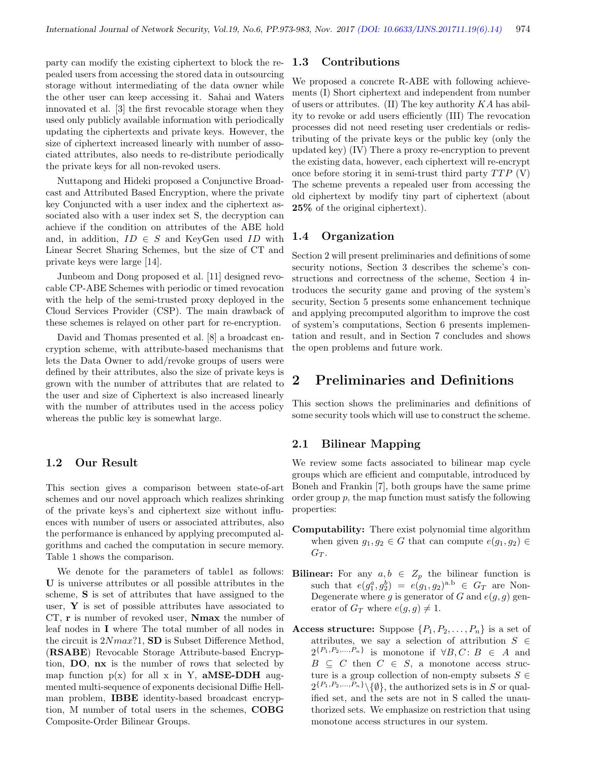party can modify the existing ciphertext to block the repealed users from accessing the stored data in outsourcing storage without intermediating of the data owner while the other user can keep accessing it. Sahai and Waters innovated et al. [3] the first revocable storage when they used only publicly available information with periodically updating the ciphertexts and private keys. However, the size of ciphertext increased linearly with number of associated attributes, also needs to re-distribute periodically the private keys for all non-revoked users.

Nuttapong and Hideki proposed a Conjunctive Broadcast and Attributed Based Encryption, where the private key Conjuncted with a user index and the ciphertext associated also with a user index set S, the decryption can achieve if the condition on attributes of the ABE hold and, in addition,  $ID \in S$  and KeyGen used  $ID$  with Linear Secret Sharing Schemes, but the size of CT and private keys were large [14].

Junbeom and Dong proposed et al. [11] designed revocable CP-ABE Schemes with periodic or timed revocation with the help of the semi-trusted proxy deployed in the Cloud Services Provider (CSP). The main drawback of these schemes is relayed on other part for re-encryption.

David and Thomas presented et al. [8] a broadcast encryption scheme, with attribute-based mechanisms that lets the Data Owner to add/revoke groups of users were defined by their attributes, also the size of private keys is grown with the number of attributes that are related to the user and size of Ciphertext is also increased linearly with the number of attributes used in the access policy whereas the public key is somewhat large.

#### 1.2 Our Result

This section gives a comparison between state-of-art schemes and our novel approach which realizes shrinking of the private keys's and ciphertext size without influences with number of users or associated attributes, also the performance is enhanced by applying precomputed algorithms and cached the computation in secure memory. Table 1 shows the comparison.

We denote for the parameters of table1 as follows: U is universe attributes or all possible attributes in the scheme, S is set of attributes that have assigned to the user,  $\bf{Y}$  is set of possible attributes have associated to CT, r is number of revoked user, Nmax the number of leaf nodes in I where The total number of all nodes in the circuit is  $2Nmax$ ?1, SD is Subset Difference Method, (RSABE) Revocable Storage Attribute-based Encryption, DO, nx is the number of rows that selected by map function  $p(x)$  for all x in Y, **aMSE-DDH** augmented multi-sequence of exponents decisional Diffie Hellman problem, IBBE identity-based broadcast encryption, M number of total users in the schemes, COBG Composite-Order Bilinear Groups.

#### 1.3 Contributions

We proposed a concrete R-ABE with following achievements (I) Short ciphertext and independent from number of users or attributes. (II) The key authority  $KA$  has ability to revoke or add users efficiently (III) The revocation processes did not need reseting user credentials or redistributing of the private keys or the public key (only the updated key) (IV) There a proxy re-encryption to prevent the existing data, however, each ciphertext will re-encrypt once before storing it in semi-trust third party  $T T P$  (V) The scheme prevents a repealed user from accessing the old ciphertext by modify tiny part of ciphertext (about 25% of the original ciphertext).

#### 1.4 Organization

Section 2 will present preliminaries and definitions of some security notions, Section 3 describes the scheme's constructions and correctness of the scheme, Section 4 introduces the security game and proving of the system's security, Section 5 presents some enhancement technique and applying precomputed algorithm to improve the cost of system's computations, Section 6 presents implementation and result, and in Section 7 concludes and shows the open problems and future work.

# 2 Preliminaries and Definitions

This section shows the preliminaries and definitions of some security tools which will use to construct the scheme.

#### 2.1 Bilinear Mapping

We review some facts associated to bilinear map cycle groups which are efficient and computable, introduced by Boneh and Frankin [7], both groups have the same prime order group  $p$ , the map function must satisfy the following properties:

- Computability: There exist polynomial time algorithm when given  $g_1, g_2 \in G$  that can compute  $e(g_1, g_2) \in$  $G_T$ .
- **Bilinear:** For any  $a, b \in Z_p$  the bilinear function is such that  $e(g_1^a, g_2^b) = e(g_1, g_2)^{a,b} \in G_T$  are Non-Degenerate where g is generator of G and  $e(g, g)$  generator of  $G_T$  where  $e(g, g) \neq 1$ .
- Access structure: Suppose  $\{P_1, P_2, \ldots, P_n\}$  is a set of attributes, we say a selection of attribution  $S \in$  $2^{\{P_1, P_2, ..., P_n\}}$  is monotone if  $\forall B, C: B \in A$  and  $B \subseteq C$  then  $C \in S$ , a monotone access structure is a group collection of non-empty subsets  $S \in$  $2^{\{P_1, P_2, ..., P_n\}} \setminus \{\emptyset\},\$  the authorized sets is in S or qualified set, and the sets are not in S called the unauthorized sets. We emphasize on restriction that using monotone access structures in our system.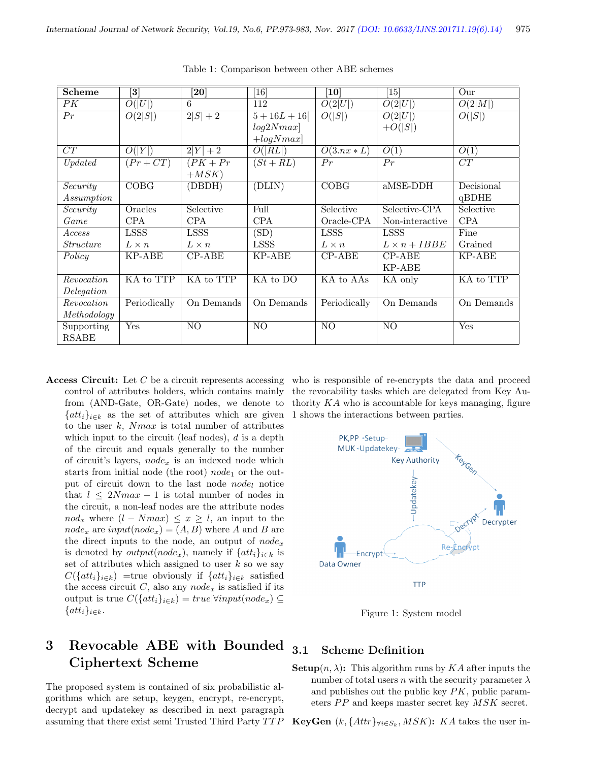| <b>Scheme</b>    | $\left\lceil 3 \right\rceil$ | $\left[ 20\right]$ | [16]                    | $\left[10\right]$ | $\left\lceil 15 \right\rceil$ | Our                     |
|------------------|------------------------------|--------------------|-------------------------|-------------------|-------------------------------|-------------------------|
| PK               | O( U )                       | 6                  | 112                     | O(2 U )           | O(2 U )                       | O(2 M )                 |
| Pr               | O(2 S )                      | $2 S  + 2$         | $5 + 16L + 16$          | O( S )            | O(2 U )                       | O( S )                  |
|                  |                              |                    | log2Nmax                |                   | $+O( S )$                     |                         |
|                  |                              |                    | $+logNmax$              |                   |                               |                         |
| CT               | O( Y )                       | $2 Y  + 2$         | O( RL )                 | $O(3.nx*L)$       | O(1)                          | O(1)                    |
| Update           | $(Pr + CT)$                  | $PK+Pr$            | $(St + RL)$             | Pr                | Pr                            | $\overline{CT}$         |
|                  |                              | $+MSK$             |                         |                   |                               |                         |
| Security         | COBG                         | (DBDH)             | (DLIN)                  | COBG              | aMSE-DDH                      | Decisional              |
| Assumption       |                              |                    |                         |                   |                               | qBDHE                   |
| Security         | Oracles                      | Selective          | Full                    | Selective         | Selective-CPA                 | Selective               |
| Game             | <b>CPA</b>                   | <b>CPA</b>         | <b>CPA</b>              | Oracle-CPA        | Non-interactive               | <b>CPA</b>              |
| Access           | <b>LSSS</b>                  | <b>LSSS</b>        | (SD)                    | <b>LSSS</b>       | <b>LSSS</b>                   | Fine                    |
| <i>Structure</i> | $L \times n$                 | $L \times n$       | <b>LSSS</b>             | $L \times n$      | $L \times n + IBBE$           | Grained                 |
| Policy           | KP-ABE                       | $CP-ABE$           | KP-ABE                  | $CP-ABE$          | $CP-ABE$                      | KP-ABE                  |
|                  |                              |                    |                         |                   | KP-ABE                        |                         |
| Revocation       | KA to TTP                    | KA to TTP          | KA to DO                | KA to AAs         | KA only                       | KA to TTP               |
| Delegation       |                              |                    |                         |                   |                               |                         |
| Revocation       | Periodically                 | On Demands         | $\overline{On}$ Demands | Periodically      | $\overline{On}$ Demands       | $\overline{On}$ Demands |
| Methodology      |                              |                    |                         |                   |                               |                         |
| Supporting       | Yes                          | N <sub>O</sub>     | N <sub>O</sub>          | N <sub>O</sub>    | N <sub>O</sub>                | Yes                     |
| <b>RSABE</b>     |                              |                    |                         |                   |                               |                         |

Table 1: Comparison between other ABE schemes

Access Circuit: Let  $C$  be a circuit represents accessing control of attributes holders, which contains mainly from (AND-Gate, OR-Gate) nodes, we denote to  $\{att_i\}_{i\in k}$  as the set of attributes which are given to the user k,  $Nmax$  is total number of attributes which input to the circuit (leaf nodes),  $d$  is a depth of the circuit and equals generally to the number of circuit's layers,  $node_x$  is an indexed node which starts from initial node (the root)  $node_1$  or the output of circuit down to the last node  $node_l$  notice that  $l \leq 2Nmax - 1$  is total number of nodes in the circuit, a non-leaf nodes are the attribute nodes  $nod_x$  where  $(l - Nmax) \leq x \geq l$ , an input to the  $node_x$  are  $input(node_x) = (A, B)$  where A and B are the direct inputs to the node, an output of  $node_x$ is denoted by *output*( $node_x$ ), namely if  $\{att_i\}_{i\in k}$  is set of attributes which assigned to user  $k$  so we say  $C({\lbrace att_i \rbrace_{i\in k}})$  =true obviously if  ${\lbrace att_i \rbrace_{i\in k}}$  satisfied the access circuit  $C$ , also any  $node_x$  is satisfied if its output is true  $C({\{att_i\}}_{i\in k}) = true|\forall input(node_x) \subseteq$  $\{att_i\}_{i\in k}.$ 

# 3 Revocable ABE with Bounded Ciphertext Scheme

The proposed system is contained of six probabilistic algorithms which are setup, keygen, encrypt, re-encrypt, decrypt and updatekey as described in next paragraph assuming that there exist semi Trusted Third Party  $TTP$ 

who is responsible of re-encrypts the data and proceed the revocability tasks which are delegated from Key Authority  $KA$  who is accountable for keys managing, figure 1 shows the interactions between parties.



Figure 1: System model

## 3.1 Scheme Definition

**Setup** $(n, \lambda)$ : This algorithm runs by KA after inputs the number of total users n with the security parameter  $\lambda$ and publishes out the public key  $PK$ , public parameters  $PP$  and keeps master secret key  $MSK$  secret.

**KeyGen**  $(k, \{Attr\}_{\forall i \in S_k}, MSK)$ : KA takes the user in-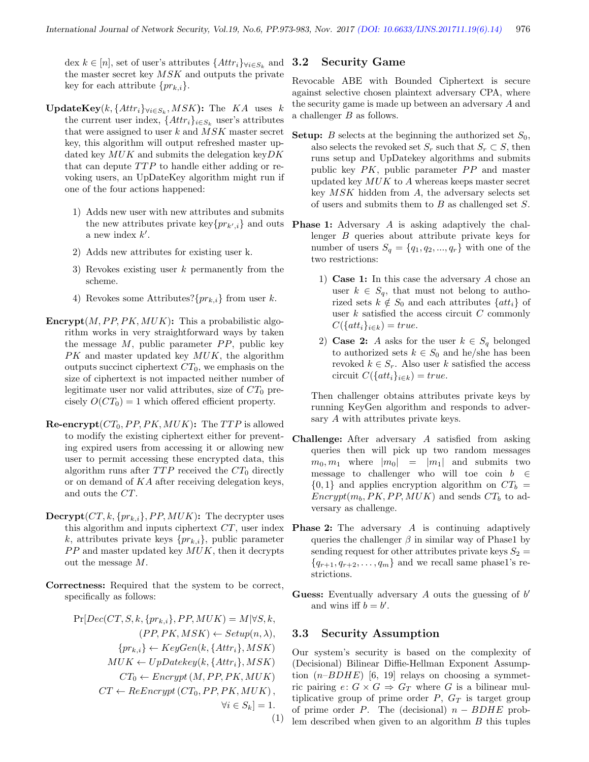dex  $k \in [n]$ , set of user's attributes  $\{Attr_i\}_{\forall i \in S_k}$  and the master secret key  $MSK$  and outputs the private key for each attribute  $\{pr_{k,i}\}.$ 

- **UpdateKey**( $k$ , { $Attr_i$ } $\forall i \in S_k$ ,  $MSK$ ): The  $KA$  uses  $k$ the current user index,  $\{Attr_i\}_{i \in S_k}$  user's attributes that were assigned to user  $k$  and  $MSK$  master secret key, this algorithm will output refreshed master updated key  $MUK$  and submits the delegation key  $DK$ that can depute  $T T P$  to handle either adding or revoking users, an UpDateKey algorithm might run if one of the four actions happened:
	- 1) Adds new user with new attributes and submits the new attributes private  $\text{key}\{pr_{k',i}\}\$ and outs a new index  $k'$ .
	- 2) Adds new attributes for existing user k.
	- 3) Revokes existing user k permanently from the scheme.
	- 4) Revokes some Attributes? $\{pr_{k,i}\}\$  from user k.
- **Encrypt** $(M, PP, PK, MUK)$ : This a probabilistic algorithm works in very straightforward ways by taken the message  $M$ , public parameter  $PP$ , public key PK and master updated key  $MUK$ , the algorithm outputs succinct ciphertext  $CT_0$ , we emphasis on the size of ciphertext is not impacted neither number of legitimate user nor valid attributes, size of  $CT_0$  precisely  $O(CT_0) = 1$  which offered efficient property.
- **Re-encrypt**  $CT_0$ ,  $PP$ ,  $PK$ ,  $MUK$ ): The TTP is allowed to modify the existing ciphertext either for preventing expired users from accessing it or allowing new user to permit accessing these encrypted data, this algorithm runs after  $TTP$  received the  $CT_0$  directly or on demand of KA after receiving delegation keys, and outs the CT.
- $\textbf{Decrypt}(CT, k, \{pr_{k,i}\}, PP, MUK)$ : The decrypter uses this algorithm and inputs ciphertext  $CT$ , user index k, attributes private keys  $\{pr_{k,i}\},$  public parameter  $PP$  and master updated key  $MUK$ , then it decrypts out the message  $M$ .
- Correctness: Required that the system to be correct, specifically as follows:

 $Pr[Dec(CT, S, k, \{pr_{k,i}\}, PP, MUK) = M | \forall S, k,$  $(PP, PK, MSK) \leftarrow Setup(n, \lambda),$  ${pr_{k,i}} \leftarrow KeyGen(k, {Attr_i}, MSK)$  $MUK \leftarrow UpDatekey(k, \{Attr_i\}, MSK)$  $CT_0 \leftarrow \text{Energy}(M, PP, PK, MUK)$  $CT \leftarrow ReEnergy(CT_0, PP, PK, MUK),$  $\forall i \in S_k$ ] = 1. (1)

#### 3.2 Security Game

Revocable ABE with Bounded Ciphertext is secure against selective chosen plaintext adversary CPA, where the security game is made up between an adversary A and a challenger B as follows.

- **Setup:** B selects at the beginning the authorized set  $S_0$ , also selects the revoked set  $S_r$  such that  $S_r \subset S$ , then runs setup and UpDatekey algorithms and submits public key  $PK$ , public parameter  $PP$  and master updated key  $MUK$  to  $A$  whereas keeps master secret key  $MSK$  hidden from  $A$ , the adversary selects set of users and submits them to  $B$  as challenged set  $S$ .
- Phase 1: Adversary A is asking adaptively the challenger B queries about attribute private keys for number of users  $S_q = \{q_1, q_2, ..., q_r\}$  with one of the two restrictions:
	- 1) Case 1: In this case the adversary A chose an user  $k \in S_q$ , that must not belong to authorized sets  $k \notin S_0$  and each attributes  $\{att_i\}$  of user  $k$  satisfied the access circuit  $C$  commonly  $C({\{att_i\}}_{i\in k}) = true.$
	- 2) Case 2: A asks for the user  $k \in S_q$  belonged to authorized sets  $k \in S_0$  and he/she has been revoked  $k \in S_r$ . Also user k satisfied the access circuit  $C({\{att_i\}}_{i\in k}) = true.$

Then challenger obtains attributes private keys by running KeyGen algorithm and responds to adversary A with attributes private keys.

- Challenge: After adversary A satisfied from asking queries then will pick up two random messages  $m_0, m_1$  where  $|m_0| = |m_1|$  and submits two message to challenger who will toe coin  $b \in$  $\{0,1\}$  and applies encryption algorithm on  $CT_b =$  $\text{Encrypt}(m_b, PK, PP, MUK)$  and sends  $CT_b$  to adversary as challenge.
- **Phase 2:** The adversary A is continuing adaptively queries the challenger  $\beta$  in similar way of Phase1 by sending request for other attributes private keys  $S_2 =$  ${q_{r+1}, q_{r+2}, \ldots, q_m}$  and we recall same phase1's restrictions.
- Guess: Eventually adversary  $A$  outs the guessing of  $b'$ and wins iff  $b = b'$ .

#### 3.3 Security Assumption

Our system's security is based on the complexity of (Decisional) Bilinear Diffie-Hellman Exponent Assumption  $(n-BDHE)$  [6, 19] relays on choosing a symmetric pairing  $e: G \times G \Rightarrow G_T$  where G is a bilinear multiplicative group of prime order  $P$ ,  $G_T$  is target group of prime order P. The (decisional)  $n - BDHE$  problem described when given to an algorithm  $B$  this tuples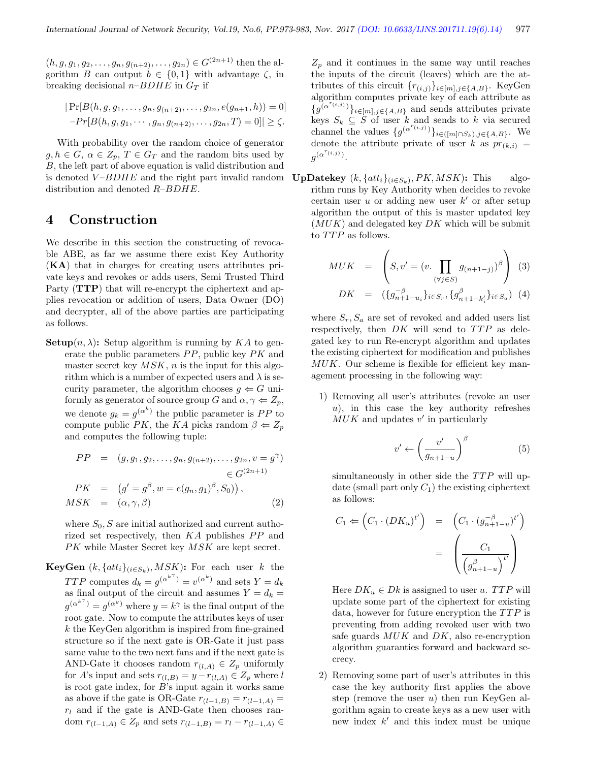$(h, g, g_1, g_2, \ldots, g_n, g_{(n+2)}, \ldots, g_{2n}) \in G^{(2n+1)}$  then the algorithm B can output  $b \in \{0,1\}$  with advantage  $\zeta$ , in breaking decisional  $n$ -BDHE in  $G_T$  if

$$
|\Pr[B(h, g, g_1, \dots, g_n, g_{(n+2)}, \dots, g_{2n}, e(g_{n+1}, h)) = 0] - Pr[B(h, g, g_1, \dots, g_n, g_{(n+2)}, \dots, g_{2n}, T) = 0]| \ge \zeta.
$$

With probability over the random choice of generator  $g, h \in G$ ,  $\alpha \in Z_n$ ,  $T \in G_T$  and the random bits used by B, the left part of above equation is valid distribution and is denoted  $V-BDHE$  and the right part invalid random **UpDatekey**  $(k, \{att_i\}_{(i \in S_k)}, PK, MSK)$ : This algodistribution and denoted R–BDHE.

## 4 Construction

We describe in this section the constructing of revocable ABE, as far we assume there exist Key Authority (KA) that in charges for creating users attributes private keys and revokes or adds users, Semi Trusted Third Party (**TTP**) that will re-encrypt the ciphertext and applies revocation or addition of users, Data Owner (DO) and decrypter, all of the above parties are participating as follows.

**Setup** $(n, \lambda)$ : Setup algorithm is running by KA to generate the public parameters  $PP$ , public key  $PK$  and master secret key  $MSK$ , n is the input for this algorithm which is a number of expected users and  $\lambda$  is security parameter, the algorithm chooses  $g \leftarrow G$  uniformly as generator of source group G and  $\alpha, \gamma \Leftarrow Z_p$ , we denote  $g_k = g^{(\alpha^k)}$  the public parameter is PP to compute public PK, the KA picks random  $\beta \Leftarrow Z_p$ and computes the following tuple:

$$
PP = (g, g_1, g_2, \dots, g_n, g_{(n+2)}, \dots, g_{2n}, v = g^{\gamma})
$$
  
\n
$$
\in G^{(2n+1)}
$$
  
\n
$$
PK = (g' = g^{\beta}, w = e(g_n, g_1)^{\beta}, S_0)
$$
,  
\n
$$
MSK = (\alpha, \gamma, \beta)
$$
 (2)

where  $S_0$ , S are initial authorized and current authorized set respectively, then  $KA$  publishes  $PP$  and PK while Master Secret key MSK are kept secret.

**KeyGen**  $(k, \{att_i\}_{(i \in S_k)}, MSK)$ : For each user k the *TTP* computes  $d_k = g^{(\alpha^{k^{\gamma}})} = v^{(\alpha^k)}$  and sets  $Y = d_k$ as final output of the circuit and assumes  $Y = d_k =$  $g^{(\alpha^{k^{\gamma}})} = g^{(\alpha^{y})}$  where  $y = k^{\gamma}$  is the final output of the root gate. Now to compute the attributes keys of user  $k$  the KeyGen algorithm is inspired from fine-grained structure so if the next gate is OR-Gate it just pass same value to the two next fans and if the next gate is AND-Gate it chooses random  $r_{(l,A)} \in Z_p$  uniformly for A's input and sets  $r_{(l,B)} = y - r_{(l,A)} \in Z_p$  where l is root gate index, for  $B$ 's input again it works same as above if the gate is OR-Gate  $r_{(l-1,B)} = r_{(l-1,A)} =$  $r_l$  and if the gate is AND-Gate then chooses random  $r_{(l-1,A)} \in Z_p$  and sets  $r_{(l-1,B)} = r_l - r_{(l-1,A)} \in$ 

 $Z_p$  and it continues in the same way until reaches the inputs of the circuit (leaves) which are the attributes of this circuit  $\{r_{(i,j)}\}_{i\in[m],j\in\{A,B\}}$ . KeyGen algorithm computes private key of each attribute as  ${g^{(\alpha^{r(i,j)})}}_{i\in[m],j\in\{A,B\}}$  and sends attributes private keys  $S_k \subseteq \dot{S}$  of user k and sends to k via secured channel the values  $\{g^{(\alpha^{r_{(i,j)}})}\}_{i\in([m]\cap S_k),j\in\{A,B\}}$ . We denote the attribute private of user k as  $pr_{(k,i)} =$  $g^{(\alpha^{r_{(i,j)}})}.$ 

rithm runs by Key Authority when decides to revoke certain user  $u$  or adding new user  $k'$  or after setup algorithm the output of this is master updated key  $(MUK)$  and delegated key  $DK$  which will be submit to TTP as follows.

$$
MUK = \left(S, v' = (v \cdot \prod_{(\forall j \in S)} g_{(n+1-j)})^{\beta}\right)
$$
 (3)

$$
DK = (\{g_{n+1-u_i}^{-\beta}\}_{i \in S_r}, \{g_{n+1-k_i'}^{\beta}\}_{i \in S_a})
$$
(4)

where  $S_r$ ,  $S_a$  are set of revoked and added users list respectively, then  $DK$  will send to  $TTP$  as delegated key to run Re-encrypt algorithm and updates the existing ciphertext for modification and publishes  $MUK$ . Our scheme is flexible for efficient key management processing in the following way:

1) Removing all user's attributes (revoke an user u), in this case the key authority refreshes  $MUK$  and updates  $v'$  in particularly

$$
v' \leftarrow \left(\frac{v'}{g_{n+1-u}}\right)^{\beta} \tag{5}
$$

simultaneously in other side the  $TTP$  will update (small part only  $C_1$ ) the existing ciphertext as follows:

$$
C_1 \Leftarrow \left(C_1 \cdot (DK_u)^{t'}\right) = \left(C_1 \cdot (g_{n+1-u}^{-\beta})^{t'}\right)
$$

$$
= \left(\frac{C_1}{\left(g_{n+1-u}^{\beta}\right)^{t'}}\right)
$$

Here  $DK_u \in Dk$  is assigned to user u. TTP will update some part of the ciphertext for existing data, however for future encryption the  $TTP$  is preventing from adding revoked user with two safe guards  $MUK$  and  $DK$ , also re-encryption algorithm guaranties forward and backward secrecy.

2) Removing some part of user's attributes in this case the key authority first applies the above step (remove the user  $u$ ) then run KeyGen algorithm again to create keys as a new user with new index  $k'$  and this index must be unique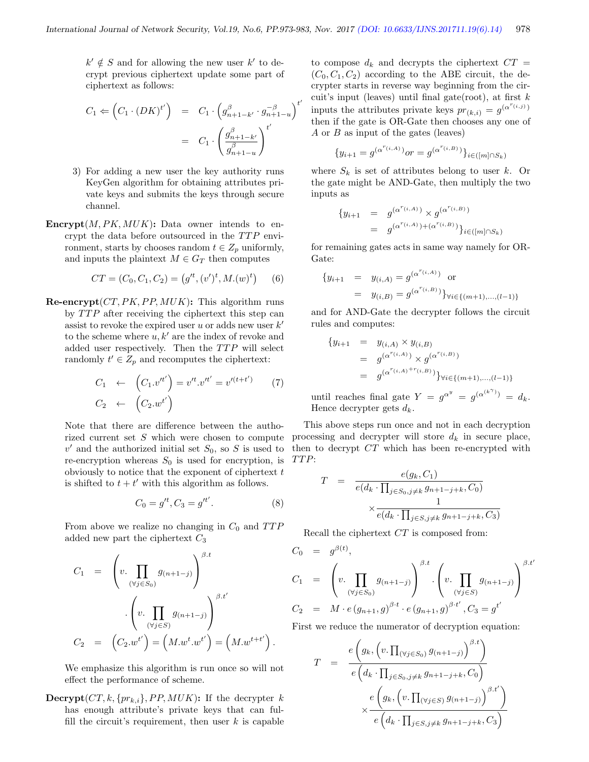$\prime$ 

 $k' \notin S$  and for allowing the new user k' to decrypt previous ciphertext update some part of ciphertext as follows:

$$
C_1 \Leftarrow \left(C_1 \cdot (DK)^{t'}\right) = C_1 \cdot \left(g_{n+1-k'}^{\beta} \cdot g_{n+1-u}^{-\beta}\right)^{t'}
$$

$$
= C_1 \cdot \left(\frac{g_{n+1-k'}^{\beta}}{g_{n+1-u}^{\beta}}\right)^{t'}
$$

- 3) For adding a new user the key authority runs KeyGen algorithm for obtaining attributes private keys and submits the keys through secure channel.
- Encrypt $(M, PK, MUK)$ : Data owner intends to encrypt the data before outsourced in the  $T T P$  environment, starts by chooses random  $t \in Z_p$  uniformly, and inputs the plaintext  $M \in G_T$  then computes

$$
CT = (C_0, C_1, C_2) = (g'^t, (v')^t, M.(w)^t)
$$
 (6)

 $\mathbf{Re\text{-}encrypt}(CT, PK, PP, MUK):$  This algorithm runs by  $TTP$  after receiving the ciphertext this step can assist to revoke the expired user u or adds new user  $k'$ to the scheme where  $u, k'$  are the index of revoke and added user respectively. Then the  $TTP$  will select randomly  $t' \in Z_p$  and recomputes the ciphertext:

$$
C_1 \leftarrow (C_1 \cdot v^{t'}) = v^{t'} \cdot v^{t'} = v'^{(t+t')} \qquad (7)
$$

$$
C_2 \leftarrow (C_2 \cdot w^{t'})
$$

Note that there are difference between the authorized current set S which were chosen to compute  $v'$  and the authorized initial set  $S_0$ , so S is used to re-encryption whereas  $S_0$  is used for encryption, is obviously to notice that the exponent of ciphertext  $t$ is shifted to  $t + t'$  with this algorithm as follows.

$$
C_0 = g'^t, C_3 = g'^{t'}.
$$
 (8)

From above we realize no changing in  $C_0$  and  $TTP$ added new part the ciphertext  $C_3$ 

$$
C_1 = \left( v. \prod_{(\forall j \in S_0)} g_{(n+1-j)} \right)^{\beta \cdot t}
$$

$$
\cdot \left( v. \prod_{(\forall j \in S)} g_{(n+1-j)} \right)^{\beta \cdot t'}
$$

$$
C_2 = \left( C_2 \cdot w^{t'} \right) = \left( M \cdot w^{t} \cdot w^{t'} \right) = \left( M \cdot w^{t+t'} \right).
$$

We emphasize this algorithm is run once so will not effect the performance of scheme.

**Decrypt**( $CT, k, \{pr_{k,i}\}, PP, MUK)$ : If the decrypter k has enough attribute's private keys that can fulfill the circuit's requirement, then user  $k$  is capable

to compose  $d_k$  and decrypts the ciphertext  $CT =$  $(C_0, C_1, C_2)$  according to the ABE circuit, the decrypter starts in reverse way beginning from the circuit's input (leaves) until final gate(root), at first  $k$ inputs the attributes private keys  $pr_{(k,i)} = g^{(\alpha^{r_{(i,j)}})}$ then if the gate is OR-Gate then chooses any one of A or B as input of the gates (leaves)

$$
\{y_{i+1} = g^{(\alpha^{r_{(i,A)}})} \circ r = g^{(\alpha^{r_{(i,B)}})}\}_{i \in ([m] \cap S_k)}
$$

where  $S_k$  is set of attributes belong to user k. Or the gate might be AND-Gate, then multiply the two inputs as

$$
\begin{array}{rcl} \{y_{i+1} & = & g^{(\alpha^{r_{(i,A)}})} \times g^{(\alpha^{r_{(i,B)}})} \\ & = & g^{(\alpha^{r_{(i,A)}}) + (\alpha^{r_{(i,B)}})}\}_{i \in ([m] \cap S_k)} \end{array}
$$

for remaining gates acts in same way namely for OR-Gate:

$$
\begin{aligned} \{y_{i+1} &= y_{(i,A)} = g^{(\alpha^{r_{(i,A)}})} \text{ or} \\ &= y_{(i,B)} = g^{(\alpha^{r_{(i,B)}})}\}_{\forall i \in \{(m+1), \dots, (l-1)\}} \end{aligned}
$$

and for AND-Gate the decrypter follows the circuit rules and computes:

$$
\begin{aligned} \{ y_{i+1} &= y_{(i,A)} \times y_{(i,B)} \\ &= g^{(\alpha^{r_{(i,A)}})} \times g^{(\alpha^{r_{(i,B)}})} \\ &= g^{(\alpha^{r_{(i,A)}+r_{(i,B)}})} \} \forall i \in \{ (m+1), \dots, (l-1) \} \end{aligned}
$$

until reaches final gate  $Y = g^{\alpha^y} = g^{(\alpha^{(k^{\gamma})})} = d_k$ . Hence decrypter gets  $d_k$ .

This above steps run once and not in each decryption processing and decrypter will store  $d_k$  in secure place, then to decrypt CT which has been re-encrypted with TTP:

$$
T = \frac{e(g_k, C_1)}{e(d_k \cdot \prod_{j \in S_0, j \neq k} g_{n+1-j+k}, C_0)}
$$

$$
\times \frac{1}{e(d_k \cdot \prod_{j \in S, j \neq k} g_{n+1-j+k}, C_3)}
$$

Recall the ciphertext CT is composed from:

$$
C_0 = g^{\beta(t)},
$$
  
\n
$$
C_1 = \left(v \cdot \prod_{(\forall j \in S_0)} g_{(n+1-j)}\right)^{\beta \cdot t} \cdot \left(v \cdot \prod_{(\forall j \in S)} g_{(n+1-j)}\right)^{\beta \cdot t'}
$$
  
\n
$$
C_2 = M \cdot e(g_{n+1}, g)^{\beta \cdot t} \cdot e(g_{n+1}, g)^{\beta \cdot t'} \cdot C_3 = g^{t'}
$$

First we reduce the numerator of decryption equation:

$$
T = \frac{e\left(g_k, \left(v, \prod_{(\forall j \in S_0)} g_{(n+1-j)}\right)^{\beta \cdot t}\right)}{e\left(d_k \cdot \prod_{j \in S_0, j \neq k} g_{n+1-j+k}, C_0\right)}
$$

$$
\times \frac{e\left(g_k, \left(v, \prod_{(\forall j \in S)} g_{(n+1-j)}\right)^{\beta \cdot t'}\right)}{e\left(d_k \cdot \prod_{j \in S, j \neq k} g_{n+1-j+k}, C_3\right)}
$$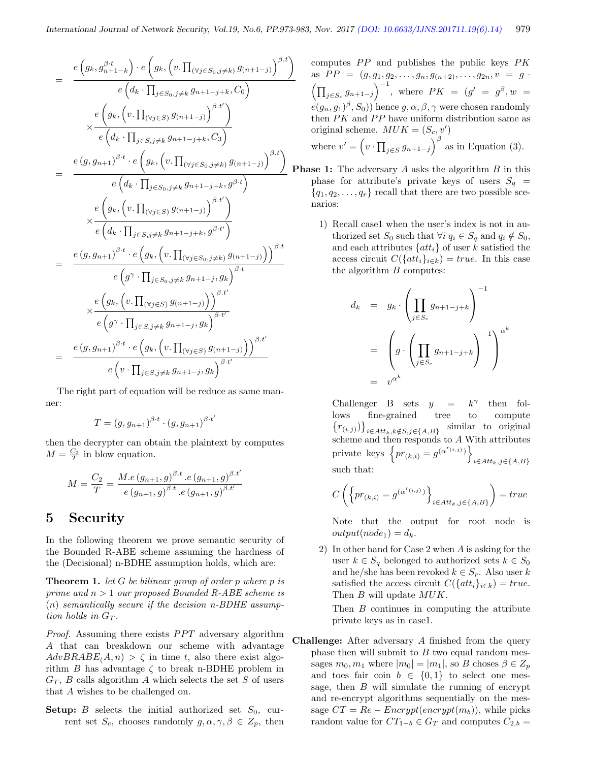$$
= \frac{e(g_k, g_{n+1-k}^{\beta \cdot t}) \cdot e(g_k, (v, \prod_{(\forall j \in S_0, j \neq k} g_{(n+1-j)})^{\beta \cdot t})}{e(g_k, (v, \prod_{(\forall j \in S)} g_{(n+1-j+k}, C_0))} \times \frac{e(g_k, (v, \prod_{(\forall j \in S)} g_{(n+1-j+k}, C_0))}{e(g_k, \prod_{j \in S, j \neq k} g_{n+1-j+k}, C_3)}
$$
\n
$$
= \frac{e(g, g_{n+1})^{\beta \cdot t} \cdot e(g_k, (v, \prod_{(\forall j \in S_0, j \neq k} g_{(n+1-j+k)})^{\beta \cdot t})}{e(g_k, \prod_{j \in S_0, j \neq k} g_{n+1-j+k}, g^{\beta \cdot t})} \times \frac{e(g_k, (v, \prod_{(\forall j \in S)} g_{(n+1-j)})^{\beta \cdot t})}{e(g_k, \prod_{j \in S, j \neq k} g_{n+1-j+k}, g^{\beta \cdot t})}
$$
\n
$$
= \frac{e(g, g_{n+1})^{\beta \cdot t} \cdot e(g_k, (v, \prod_{(\forall j \in S_0, j \neq k} g_{n+1-j}, g_k)^{\beta \cdot t}}{e(g_j \cdot \prod_{j \in S_0, j \neq k} g_{n+1-j}, g_k)^{\beta \cdot t}}
$$
\n
$$
\times \frac{e(g_k, (v, \prod_{(\forall j \in S)} g_{(n+1-j)})^{\beta \cdot t'}}{e(g_k, \prod_{(\forall j \in S, j \neq k} g_{n+1-j}, g_k)^{\beta \cdot t'}}
$$
\n
$$
= \frac{e(g, g_{n+1})^{\beta \cdot t} \cdot e(g_k, (v, \prod_{(\forall j \in S)} g_{(n+1-j)})^{\beta \cdot t'}}{e(v \cdot \prod_{j \in S, j \neq k} g_{n+1-j}, g_k)^{\beta \cdot t'}}
$$

The right part of equation will be reduce as same manner:

$$
T = (g, g_{n+1})^{\beta \cdot t} \cdot (g, g_{n+1})^{\beta \cdot t'}
$$

then the decrypter can obtain the plaintext by computes  $M = \frac{C_2}{T}$  in blow equation.

$$
M = \frac{C_2}{T} = \frac{M.e (g_{n+1}, g)^{\beta.t} . e (g_{n+1}, g)^{\beta.t'}}{e (g_{n+1}, g)^{\beta.t} . e (g_{n+1}, g)^{\beta.t'}}
$$

# 5 Security

In the following theorem we prove semantic security of the Bounded R-ABE scheme assuming the hardness of the (Decisional) n-BDHE assumption holds, which are:

**Theorem 1.** let G be bilinear group of order p where p is prime and  $n > 1$  our proposed Bounded R-ABE scheme is  $(n)$  semantically secure if the decision n-BDHE assumption holds in  $G_T$ .

*Proof.* Assuming there exists  $PPT$  adversary algorithm A that can breakdown our scheme with advantage  $AdvBRABE(A, n) > \zeta$  in time t, also there exist algorithm B has advantage  $\zeta$  to break n-BDHE problem in  $G_T$ , B calls algorithm A which selects the set S of users that A wishes to be challenged on.

**Setup:** B selects the initial authorized set  $S_0$ , current set  $S_c$ , chooses randomly  $g, \alpha, \gamma, \beta \in Z_p$ , then computes  $PP$  and publishes the public keys  $PK$ as  $PP = (g, g_1, g_2, \ldots, g_n, g_{(n+2)}, \ldots, g_{2n}, v = g$ .  $\left(\prod_{j\in S_c} g_{n+1-j}\right)^{-1}$ , where  $PK = (g' = g^{\beta}, w =$  $e(g_n,g_1)^\beta,S_0))$  hence  $g,\alpha,\beta,\gamma$  were chosen randomly then  $PK$  and  $PP$  have uniform distribution same as original scheme.  $MUK = (S_c, v')$  $\sqrt{ }$  $\bigvee^{\beta}$ 

where 
$$
v' = (v \cdot \prod_{j \in S} g_{n+1-j})^{\sim}
$$
 as in Equation (3).

- **Phase 1:** The adversary  $A$  asks the algorithm  $B$  in this phase for attribute's private keys of users  $S_q =$  ${q_1, q_2, \ldots, q_r}$  recall that there are two possible scenarios:
	- 1) Recall case1 when the user's index is not in authorized set  $S_0$  such that  $\forall i \ q_i \in S_q$  and  $q_i \notin S_0$ , and each attributes  $\{att_i\}$  of user k satisfied the access circuit  $C({\{att_i\}}_{i\in k}) = true$ . In this case the algorithm  $B$  computes:

$$
d_k = g_k \cdot \left( \prod_{j \in S_c} g_{n+1-j+k} \right)^{-1}
$$
  
= 
$$
\left( g \cdot \left( \prod_{j \in S_c} g_{n+1-j+k} \right)^{-1} \right)^{\alpha^k}
$$
  
= 
$$
v^{\alpha^k}
$$

Challenger B sets  $y =$  $k^{\gamma}$ then follows fine-grained tree to compute  ${r_{(i,j)}}\big\}_{i\in Att_k, k\notin S, j\in\{A,B\}}$  similar to original scheme and then responds to A With attributes private keys  $\left\{pr_{(k,i)} = g^{(\alpha^{r_{(i,j)}})}\right\}$  $i∈Att_k,j∈{A,B}$ such that:

$$
C\left(\left\{pr_{(k,i)}=g^{(\alpha^{r_{(i,j)}})}\right\}_{i\in Att_k,j\in\{A,B\}}\right)=true
$$

Note that the output for root node is  $output(node_1) = d_k.$ 

2) In other hand for Case 2 when A is asking for the user  $k \in S_q$  belonged to authorized sets  $k \in S_0$ and he/she has been revoked  $k \in S_r$ . Also user k satisfied the access circuit  $C({\lbrace att_i \rbrace}_{i\in k}) = true$ . Then  ${\cal B}$  will update  $MUK.$ 

Then B continues in computing the attribute private keys as in case1.

Challenge: After adversary A finished from the query phase then will submit to  $B$  two equal random messages  $m_0, m_1$  where  $|m_0| = |m_1|$ , so B choses  $\beta \in Z_p$ and toes fair coin  $b \in \{0,1\}$  to select one message, then  $B$  will simulate the running of encrypt and re-encrypt algorithms sequentially on the message  $CT = Re - Encrypt(encryption_b)$ , while picks random value for  $CT_{1-b} \in G_T$  and computes  $C_{2,b} =$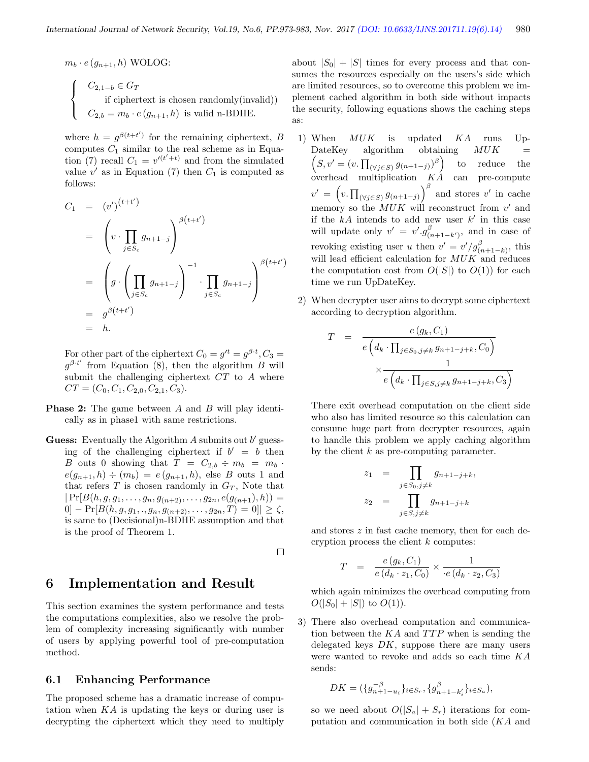$\Box$ 

 $m_b \cdot e(g_{n+1}, h)$  WOLOG:  $\sqrt{ }$  $\int$  $\mathcal{L}$  $C_{2,1-b} \in G_T$ if ciphertext is chosen randomly(invalid))  $C_{2,b} = m_b \cdot e(g_{n+1}, h)$  is valid n-BDHE.

where  $h = g^{\beta(t+t')}$  for the remaining ciphertext, B computes  $C_1$  similar to the real scheme as in Equation (7) recall  $C_1 = v'^{(t'+t)}$  and from the simulated value  $v'$  as in Equation (7) then  $C_1$  is computed as follows:

$$
C_1 = (v')^{(t+t')}
$$
  
\n
$$
= \left(v \cdot \prod_{j \in S_c} g_{n+1-j}\right)^{\beta(t+t')}
$$
  
\n
$$
= \left(g \cdot \left(\prod_{j \in S_c} g_{n+1-j}\right)^{-1} \cdot \prod_{j \in S_c} g_{n+1-j}\right)^{\beta(t+t')}
$$
  
\n
$$
= g^{\beta(t+t')}.
$$
  
\n
$$
= h.
$$

For other part of the ciphertext  $C_0 = g'^t = g^{\beta \cdot t}$ ,  $C_3 =$  $g^{\beta t'}$  from Equation (8), then the algorithm B will submit the challenging ciphertext  $CT$  to  $A$  where  $CT = (C_0, C_1, C_{2,0}, C_{2,1}, C_3).$ 

- **Phase 2:** The game between A and B will play identically as in phase1 with same restrictions.
- Guess: Eventually the Algorithm  $A$  submits out  $b'$  guessing of the challenging ciphertext if  $b' = b$  then B outs 0 showing that  $T = C_{2,b} \div m_b = m_b$ .  $e(g_{n+1}, h) \div (m_b) = e(g_{n+1}, h)$ , else B outs 1 and that refers  $T$  is chosen randomly in  $G_T$ , Note that  $|Pr[B(h, g, g_1, \ldots, g_n, g_{(n+2)}, \ldots, g_{2n}, e(g_{(n+1)}, h))] =$  $0] - Pr[B(h, g, g_1, ., g_n, g_{n+2}, . . ., g_{2n}, T) = 0]| \ge \zeta,$ is same to (Decisional)n-BDHE assumption and that is the proof of Theorem 1.

6 Implementation and Result

This section examines the system performance and tests the computations complexities, also we resolve the problem of complexity increasing significantly with number of users by applying powerful tool of pre-computation method.

#### 6.1 Enhancing Performance

The proposed scheme has a dramatic increase of computation when KA is updating the keys or during user is decrypting the ciphertext which they need to multiply

about  $|S_0| + |S|$  times for every process and that consumes the resources especially on the users's side which are limited resources, so to overcome this problem we implement cached algorithm in both side without impacts the security, following equations shows the caching steps as:

- 1) When MUK is updated KA runs Up-DateKey algorithm obtaining  $(S, v' = (v, \prod_{(\forall j \in S)} g_{(n+1-j)})^{\beta})$  to reduce the  $MUK$  = overhead multiplication KA can pre-compute  $v' = \left(v, \prod_{(\forall j \in S)} g_{(n+1-j)}\right)^{\beta}$  and stores v' in cache memory so the  $MUK$  will reconstruct from  $v'$  and if the  $kA$  intends to add new user  $k'$  in this case will update only  $v' = v'.g^{\beta}_{(n+1-k')}$ , and in case of revoking existing user u then  $v' = v'/g^{\beta}_{(n+1-k)}$ , this will lead efficient calculation for  $MUK$  and reduces the computation cost from  $O(|S|)$  to  $O(1)$  for each time we run UpDateKey.
- 2) When decrypter user aims to decrypt some ciphertext according to decryption algorithm.

$$
T = \frac{e(g_k, C_1)}{e\left(d_k \cdot \prod_{j \in S_0, j \neq k} g_{n+1-j+k}, C_0\right)}
$$

$$
\times \frac{1}{e\left(d_k \cdot \prod_{j \in S, j \neq k} g_{n+1-j+k}, C_3\right)}
$$

There exit overhead computation on the client side who also has limited resource so this calculation can consume huge part from decrypter resources, again to handle this problem we apply caching algorithm by the client k as pre-computing parameter.

$$
z_1 = \prod_{j \in S_0, j \neq k} g_{n+1-j+k},
$$
  

$$
z_2 = \prod_{j \in S, j \neq k} g_{n+1-j+k}
$$

and stores z in fast cache memory, then for each decryption process the client  $k$  computes:

$$
T = \frac{e(g_k, C_1)}{e(d_k \cdot z_1, C_0)} \times \frac{1}{e(d_k \cdot z_2, C_3)}
$$

which again minimizes the overhead computing from  $O(|S_0| + |S|)$  to  $O(1)$ ).

3) There also overhead computation and communication between the  $KA$  and  $TTP$  when is sending the delegated keys  $DK$ , suppose there are many users were wanted to revoke and adds so each time KA sends:

$$
DK = (\{g_{n+1-u_i}^{-\beta}\}_{i \in S_r}, \{g_{n+1-k_i'}^{\beta}\}_{i \in S_a}),
$$

so we need about  $O(|S_a| + S_r)$  iterations for computation and communication in both side (KA and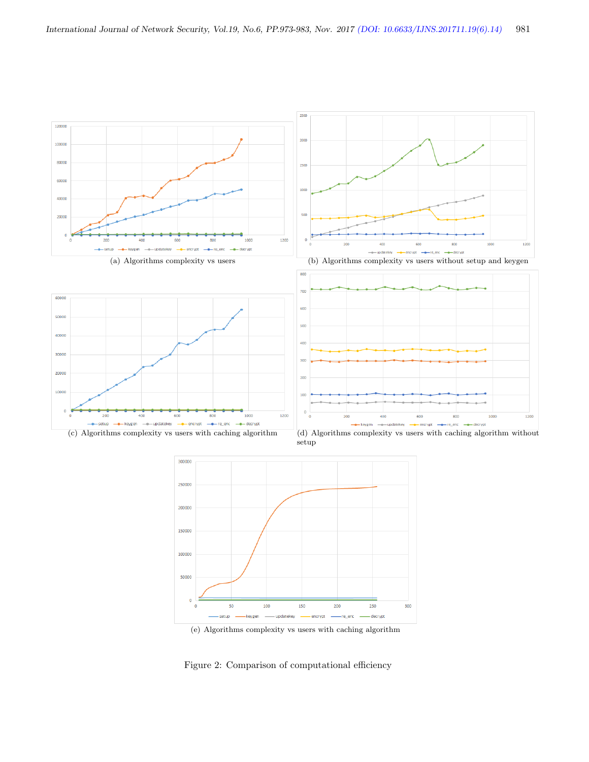

(e) Algorithms complexity vs users with caching algorithm

Figure 2: Comparison of computational efficiency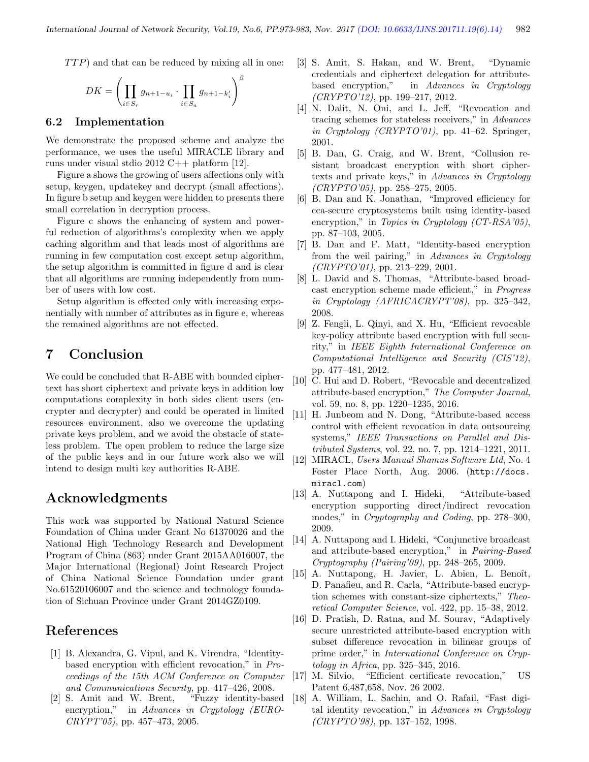$TTP$ ) and that can be reduced by mixing all in one:

$$
DK = \left(\prod_{i \in S_r} g_{n+1-u_i} \cdot \prod_{i \in S_a} g_{n+1-k'_i}\right)^{\beta}
$$

#### 6.2 Implementation

We demonstrate the proposed scheme and analyze the performance, we uses the useful MIRACLE library and runs under visual stdio 2012 C++ platform [12].

Figure a shows the growing of users affections only with setup, keygen, updatekey and decrypt (small affections). In figure b setup and keygen were hidden to presents there small correlation in decryption process.

Figure c shows the enhancing of system and powerful reduction of algorithms's complexity when we apply caching algorithm and that leads most of algorithms are running in few computation cost except setup algorithm, the setup algorithm is committed in figure d and is clear that all algorithms are running independently from number of users with low cost.

Setup algorithm is effected only with increasing exponentially with number of attributes as in figure e, whereas the remained algorithms are not effected.

# 7 Conclusion

We could be concluded that R-ABE with bounded ciphertext has short ciphertext and private keys in addition low computations complexity in both sides client users (encrypter and decrypter) and could be operated in limited resources environment, also we overcome the updating private keys problem, and we avoid the obstacle of stateless problem. The open problem to reduce the large size of the public keys and in our future work also we will intend to design multi key authorities R-ABE.

# Acknowledgments

This work was supported by National Natural Science Foundation of China under Grant No 61370026 and the National High Technology Research and Development Program of China (863) under Grant 2015AA016007, the Major International (Regional) Joint Research Project of China National Science Foundation under grant No.61520106007 and the science and technology foundation of Sichuan Province under Grant 2014GZ0109.

# References

- [1] B. Alexandra, G. Vipul, and K. Virendra, "Identitybased encryption with efficient revocation," in Proceedings of the 15th ACM Conference on Computer [17] M. Silvio, and Communications Security, pp. 417–426, 2008.
- [2] S. Amit and W. Brent, "Fuzzy identity-based encryption," in Advances in Cryptology (EURO-CRYPT'05), pp. 457–473, 2005.
- [3] S. Amit, S. Hakan, and W. Brent, "Dynamic credentials and ciphertext delegation for attributebased encryption," in Advances in Cryptology  $(CRYPTO'12)$ , pp. 199-217, 2012.
- [4] N. Dalit, N. Oni, and L. Jeff, "Revocation and tracing schemes for stateless receivers," in Advances in Cryptology (CRYPTO'01), pp. 41–62. Springer, 2001.
- [5] B. Dan, G. Craig, and W. Brent, "Collusion resistant broadcast encryption with short ciphertexts and private keys," in Advances in Cryptology  $(CRYPTO'05)$ , pp. 258-275, 2005.
- [6] B. Dan and K. Jonathan, "Improved efficiency for cca-secure cryptosystems built using identity-based encryption," in Topics in Cryptology (CT-RSA'05), pp. 87–103, 2005.
- [7] B. Dan and F. Matt, "Identity-based encryption from the weil pairing," in Advances in Cryptology  $(CRYPTO'01)$ , pp. 213-229, 2001.
- [8] L. David and S. Thomas, "Attribute-based broadcast encryption scheme made efficient," in Progress in Cryptology  $(AFRICACRYPT'08)$ , pp. 325–342, 2008.
- [9] Z. Fengli, L. Qinyi, and X. Hu, "Efficient revocable key-policy attribute based encryption with full security," in IEEE Eighth International Conference on Computational Intelligence and Security (CIS'12), pp. 477–481, 2012.
- [10] C. Hui and D. Robert, "Revocable and decentralized attribute-based encryption," The Computer Journal, vol. 59, no. 8, pp. 1220–1235, 2016.
- [11] H. Junbeom and N. Dong, "Attribute-based access control with efficient revocation in data outsourcing systems," IEEE Transactions on Parallel and Distributed Systems, vol. 22, no. 7, pp. 1214–1221, 2011.
- [12] MIRACL, Users Manual Shamus Software Ltd, No. 4 Foster Place North, Aug. 2006. (http://docs. miracl.com)
- [13] A. Nuttapong and I. Hideki, "Attribute-based encryption supporting direct/indirect revocation modes," in Cryptography and Coding, pp. 278–300, 2009.
- [14] A. Nuttapong and I. Hideki, "Conjunctive broadcast and attribute-based encryption," in Pairing-Based Cryptography (Pairing'09), pp. 248–265, 2009.
- [15] A. Nuttapong, H. Javier, L. Abien, L. Benoît, D. Panafieu, and R. Carla, "Attribute-based encryption schemes with constant-size ciphertexts," Theoretical Computer Science, vol. 422, pp. 15–38, 2012.
- [16] D. Pratish, D. Ratna, and M. Sourav, "Adaptively secure unrestricted attribute-based encryption with subset difference revocation in bilinear groups of prime order," in International Conference on Cryptology in Africa, pp. 325–345, 2016.
- [17] M. Silvio, "Efficient certificate revocation," US Patent 6,487,658, Nov. 26 2002.
- [18] A. William, L. Sachin, and O. Rafail, "Fast digital identity revocation," in Advances in Cryptology  $(CRYPTO'98)$ , pp. 137–152, 1998.